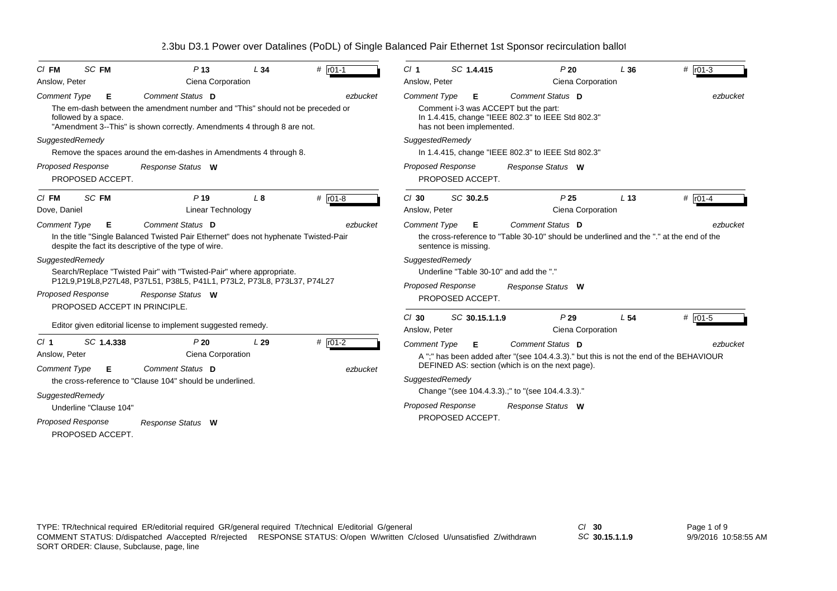| $CI$ FM                                                           | SC FM                                                                                                                                                                            | P <sub>13</sub>                                                                                                                               | L34 | # $r01-1$                                                  | SC 1.4.415<br>Cl <sub>1</sub>                                                                                   |                                        | P20                                                                                                                     | L36                                                                                    | # $r01-3$       |           |  |  |  |
|-------------------------------------------------------------------|----------------------------------------------------------------------------------------------------------------------------------------------------------------------------------|-----------------------------------------------------------------------------------------------------------------------------------------------|-----|------------------------------------------------------------|-----------------------------------------------------------------------------------------------------------------|----------------------------------------|-------------------------------------------------------------------------------------------------------------------------|----------------------------------------------------------------------------------------|-----------------|-----------|--|--|--|
| Anslow, Peter                                                     |                                                                                                                                                                                  | Ciena Corporation                                                                                                                             |     |                                                            | Anslow, Peter                                                                                                   |                                        |                                                                                                                         | Ciena Corporation                                                                      |                 |           |  |  |  |
| <b>Comment Type</b>                                               | Е                                                                                                                                                                                | Comment Status D                                                                                                                              |     | ezbucket                                                   | <b>Comment Type</b><br>Comment Status D<br>Е<br>ezbucket                                                        |                                        |                                                                                                                         |                                                                                        |                 |           |  |  |  |
|                                                                   | The em-dash between the amendment number and "This" should not be preceded or<br>followed by a space.<br>"Amendment 3--This" is shown correctly. Amendments 4 through 8 are not. |                                                                                                                                               |     |                                                            |                                                                                                                 |                                        | Comment i-3 was ACCEPT but the part:<br>In 1.4.415, change "IEEE 802.3" to IEEE Std 802.3"<br>has not been implemented. |                                                                                        |                 |           |  |  |  |
| SuggestedRemedy                                                   |                                                                                                                                                                                  |                                                                                                                                               |     |                                                            | SuggestedRemedy                                                                                                 |                                        |                                                                                                                         |                                                                                        |                 |           |  |  |  |
|                                                                   |                                                                                                                                                                                  | Remove the spaces around the em-dashes in Amendments 4 through 8.                                                                             |     |                                                            | In 1.4.415, change "IEEE 802.3" to IEEE Std 802.3"                                                              |                                        |                                                                                                                         |                                                                                        |                 |           |  |  |  |
| <b>Proposed Response</b><br>Response Status W<br>PROPOSED ACCEPT. |                                                                                                                                                                                  |                                                                                                                                               |     | Proposed Response<br>Response Status W<br>PROPOSED ACCEPT. |                                                                                                                 |                                        |                                                                                                                         |                                                                                        |                 |           |  |  |  |
| $CI$ FM                                                           | SC FM                                                                                                                                                                            | P <sub>19</sub>                                                                                                                               | L8  | # $r01-8$                                                  | $Cl$ 30                                                                                                         |                                        | SC 30.2.5                                                                                                               | P <sub>25</sub>                                                                        | L <sub>13</sub> | # $ro1-4$ |  |  |  |
| Dove, Daniel                                                      |                                                                                                                                                                                  | Linear Technology                                                                                                                             |     |                                                            | Anslow, Peter                                                                                                   |                                        |                                                                                                                         | Ciena Corporation                                                                      |                 |           |  |  |  |
| <b>Comment Type</b>                                               | Е                                                                                                                                                                                | Comment Status D                                                                                                                              |     | ezbucket                                                   | <b>Comment Type</b>                                                                                             |                                        | Е                                                                                                                       | Comment Status D                                                                       |                 | ezbucket  |  |  |  |
|                                                                   |                                                                                                                                                                                  | In the title "Single Balanced Twisted Pair Ethernet" does not hyphenate Twisted-Pair<br>despite the fact its descriptive of the type of wire. |     |                                                            | the cross-reference to "Table 30-10" should be underlined and the "." at the end of the<br>sentence is missing. |                                        |                                                                                                                         |                                                                                        |                 |           |  |  |  |
| SuggestedRemedy                                                   |                                                                                                                                                                                  |                                                                                                                                               |     |                                                            | SuggestedRemedy                                                                                                 |                                        |                                                                                                                         |                                                                                        |                 |           |  |  |  |
|                                                                   |                                                                                                                                                                                  | Search/Replace "Twisted Pair" with "Twisted-Pair" where appropriate.                                                                          |     |                                                            | Underline "Table 30-10" and add the "."<br>Proposed Response<br>Response Status W<br>PROPOSED ACCEPT.           |                                        |                                                                                                                         |                                                                                        |                 |           |  |  |  |
|                                                                   |                                                                                                                                                                                  | P12L9,P19L8,P27L48, P37L51, P38L5, P41L1, P73L2, P73L8, P73L37, P74L27                                                                        |     |                                                            |                                                                                                                 |                                        |                                                                                                                         |                                                                                        |                 |           |  |  |  |
|                                                                   | <b>Proposed Response</b>                                                                                                                                                         | Response Status W                                                                                                                             |     |                                                            |                                                                                                                 |                                        |                                                                                                                         |                                                                                        |                 |           |  |  |  |
|                                                                   |                                                                                                                                                                                  | PROPOSED ACCEPT IN PRINCIPLE.                                                                                                                 |     |                                                            | $Cl$ 30                                                                                                         |                                        | SC 30.15.1.1.9                                                                                                          | P29                                                                                    | L <sub>54</sub> | # $ro1-5$ |  |  |  |
|                                                                   |                                                                                                                                                                                  | Editor given editorial license to implement suggested remedy.                                                                                 |     |                                                            | Anslow, Peter                                                                                                   |                                        |                                                                                                                         | Ciena Corporation                                                                      |                 |           |  |  |  |
| $CI$ 1                                                            | SC 1.4.338                                                                                                                                                                       | P20                                                                                                                                           | L29 | $# 101-2$                                                  | <b>Comment Type</b>                                                                                             |                                        | Е                                                                                                                       | Comment Status D                                                                       |                 | ezbucket  |  |  |  |
| Anslow, Peter                                                     |                                                                                                                                                                                  | Ciena Corporation                                                                                                                             |     |                                                            |                                                                                                                 |                                        |                                                                                                                         | A ";" has been added after "(see 104.4.3.3)." but this is not the end of the BEHAVIOUR |                 |           |  |  |  |
| <b>Comment Type</b>                                               | Е                                                                                                                                                                                | Comment Status D                                                                                                                              |     | ezbucket                                                   |                                                                                                                 |                                        |                                                                                                                         | DEFINED AS: section (which is on the next page).                                       |                 |           |  |  |  |
|                                                                   | the cross-reference to "Clause 104" should be underlined.                                                                                                                        |                                                                                                                                               |     |                                                            |                                                                                                                 |                                        | SuggestedRemedy                                                                                                         |                                                                                        |                 |           |  |  |  |
| SuggestedRemedy                                                   |                                                                                                                                                                                  |                                                                                                                                               |     |                                                            |                                                                                                                 |                                        |                                                                                                                         | Change "(see 104.4.3.3).;" to "(see 104.4.3.3)."                                       |                 |           |  |  |  |
| Underline "Clause 104"                                            |                                                                                                                                                                                  |                                                                                                                                               |     |                                                            |                                                                                                                 | Proposed Response<br>Response Status W |                                                                                                                         |                                                                                        |                 |           |  |  |  |
|                                                                   | Proposed Response                                                                                                                                                                | Response Status W                                                                                                                             |     |                                                            | PROPOSED ACCEPT.                                                                                                |                                        |                                                                                                                         |                                                                                        |                 |           |  |  |  |
|                                                                   | PROPOSED ACCEPT.                                                                                                                                                                 |                                                                                                                                               |     |                                                            |                                                                                                                 |                                        |                                                                                                                         |                                                                                        |                 |           |  |  |  |
|                                                                   |                                                                                                                                                                                  |                                                                                                                                               |     |                                                            |                                                                                                                 |                                        |                                                                                                                         |                                                                                        |                 |           |  |  |  |

*SC* **30.15.1.1.9**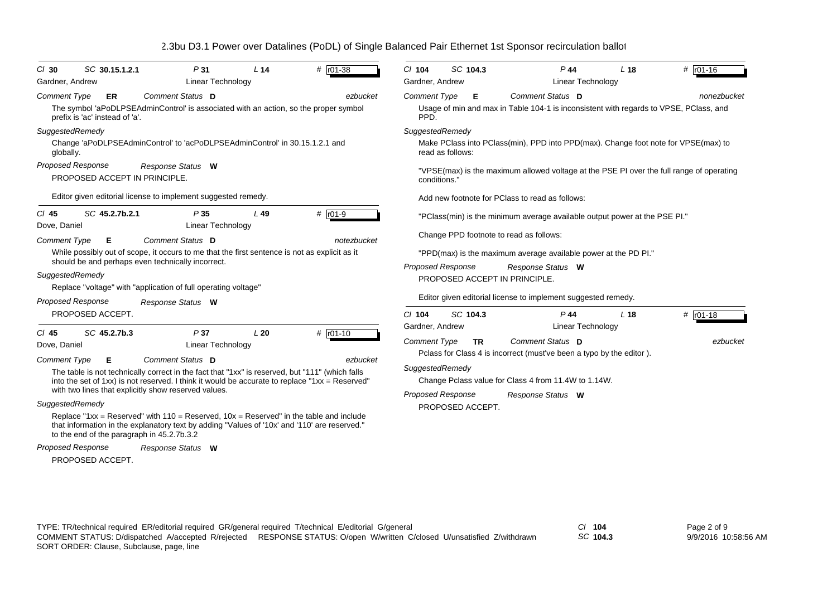| SC 30.15.1.2.1<br>$CI$ 30<br>Gardner, Andrew                                                                                                                                                 | P31<br><b>Linear Technology</b>                                                                                                                                                                                                                                                                                                                                                                                                                                                                                                            | L <sub>14</sub> | # r01-38                 | $CI$ 104<br>Gardner, Andrew                                                           | SC 104.3                      | $P$ 44<br><b>Linear Technology</b>                                                                                                                                                                                                                                                                                                                                                                                           | L <sub>18</sub> | # r01-16    |
|----------------------------------------------------------------------------------------------------------------------------------------------------------------------------------------------|--------------------------------------------------------------------------------------------------------------------------------------------------------------------------------------------------------------------------------------------------------------------------------------------------------------------------------------------------------------------------------------------------------------------------------------------------------------------------------------------------------------------------------------------|-----------------|--------------------------|---------------------------------------------------------------------------------------|-------------------------------|------------------------------------------------------------------------------------------------------------------------------------------------------------------------------------------------------------------------------------------------------------------------------------------------------------------------------------------------------------------------------------------------------------------------------|-----------------|-------------|
| <b>Comment Type</b><br><b>ER</b><br>prefix is 'ac' instead of 'a'.<br>SuggestedRemedy<br>globally.<br><b>Proposed Response</b><br>PROPOSED ACCEPT IN PRINCIPLE.<br>SC 45.2.7b.2.1<br>$CI$ 45 | Comment Status D<br>The symbol 'aPoDLPSEAdminControl' is associated with an action, so the proper symbol<br>Change 'aPoDLPSEAdminControl' to 'acPoDLPSEAdminControl' in 30.15.1.2.1 and<br>Response Status W<br>Editor given editorial license to implement suggested remedy.<br>P35                                                                                                                                                                                                                                                       | L49             | ezbucket<br>$#$ r01-9    | <b>Comment Type</b><br>PPD.<br>SuggestedRemedy<br>conditions.                         | Е<br>read as follows:         | Comment Status D<br>Usage of min and max in Table 104-1 is inconsistent with regards to VPSE, PClass, and<br>Make PClass into PClass(min), PPD into PPD(max). Change foot note for VPSE(max) to<br>"VPSE(max) is the maximum allowed voltage at the PSE PI over the full range of operating<br>Add new footnote for PClass to read as follows:<br>"PClass(min) is the minimum average available output power at the PSE PI." |                 | nonezbucket |
| Dove, Daniel<br><b>Comment Type</b><br>Е<br>SuggestedRemedy<br>Proposed Response<br>PROPOSED ACCEPT.                                                                                         | <b>Linear Technology</b><br><b>Comment Status</b> D<br>While possibly out of scope, it occurs to me that the first sentence is not as explicit as it<br>should be and perhaps even technically incorrect.<br>Replace "voltage" with "application of full operating voltage"<br>Response Status W                                                                                                                                                                                                                                           |                 | notezbucket              | Proposed Response<br>$Cl$ 104                                                         | SC 104.3                      | Change PPD footnote to read as follows:<br>"PPD(max) is the maximum average available power at the PD PI."<br>Response Status W<br>PROPOSED ACCEPT IN PRINCIPLE.<br>Editor given editorial license to implement suggested remedy.<br>$P$ 44                                                                                                                                                                                  | L <sub>18</sub> | # $r01-18$  |
| SC 45.2.7b.3<br>$CI$ 45<br>Dove, Daniel<br><b>Comment Type</b><br>Е<br>SuggestedRemedy<br>to the end of the paragraph in 45.2.7b.3.2<br>Proposed Response                                    | P37<br><b>Linear Technology</b><br><b>Comment Status</b> D<br>The table is not technically correct in the fact that "1xx" is reserved, but "111" (which falls<br>into the set of 1xx) is not reserved. I think it would be accurate to replace "1xx = Reserved"<br>with two lines that explicitly show reserved values.<br>Replace "1xx = Reserved" with $110$ = Reserved, $10x$ = Reserved" in the table and include<br>that information in the explanatory text by adding "Values of '10x' and '110' are reserved."<br>Response Status W | L20             | $#$ $r01-10$<br>ezbucket | Gardner, Andrew<br><b>Comment Type</b><br>SuggestedRemedy<br><b>Proposed Response</b> | <b>TR</b><br>PROPOSED ACCEPT. | <b>Linear Technology</b><br>Comment Status D<br>Polass for Class 4 is incorrect (must've been a typo by the editor).<br>Change Pclass value for Class 4 from 11.4W to 1.14W.<br>Response Status W                                                                                                                                                                                                                            |                 | ezbucket    |

PROPOSED ACCEPT.

TYPE: TR/technical required ER/editorial required GR/general required T/technical E/editorial G/general *Cl* **104** SORT ORDER: Clause, Subclause, page, line COMMENT STATUS: D/dispatched A/accepted R/rejected RESPONSE STATUS: O/open W/written C/closed U/unsatisfied Z/withdrawn

*SC* **104.3**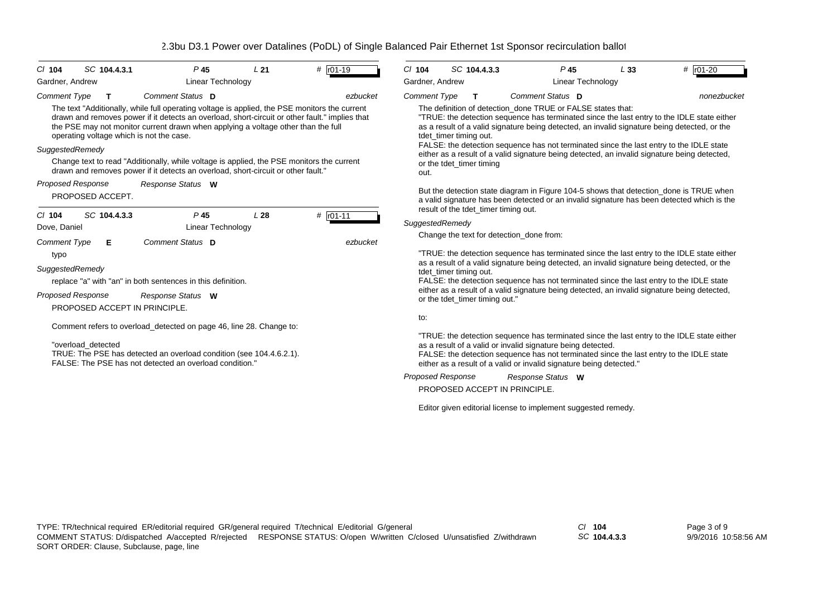| $Cl$ 104                 | SC 104.4.3.1                             | P <sub>45</sub>                                                                                                                                                                                                                                                                      | L21             | $#$ $r01-19$ | SC 104.4.3.3<br>C/104                                                                                                                                                                                                                                                                                                                                                          | $P$ 45                                                                                                                                                                                     | L33 | # $r01-20$  |  |  |  |
|--------------------------|------------------------------------------|--------------------------------------------------------------------------------------------------------------------------------------------------------------------------------------------------------------------------------------------------------------------------------------|-----------------|--------------|--------------------------------------------------------------------------------------------------------------------------------------------------------------------------------------------------------------------------------------------------------------------------------------------------------------------------------------------------------------------------------|--------------------------------------------------------------------------------------------------------------------------------------------------------------------------------------------|-----|-------------|--|--|--|
| Gardner, Andrew          |                                          | Linear Technology                                                                                                                                                                                                                                                                    |                 |              | <b>Linear Technology</b><br>Gardner, Andrew                                                                                                                                                                                                                                                                                                                                    |                                                                                                                                                                                            |     |             |  |  |  |
| <b>Comment Type</b>      | T                                        | Comment Status D                                                                                                                                                                                                                                                                     |                 | ezbucket     | <b>Comment Type</b><br>т                                                                                                                                                                                                                                                                                                                                                       | Comment Status D                                                                                                                                                                           |     | nonezbucket |  |  |  |
|                          | operating voltage which is not the case. | The text "Additionally, while full operating voltage is applied, the PSE monitors the current<br>drawn and removes power if it detects an overload, short-circuit or other fault." implies that<br>the PSE may not monitor current drawn when applying a voltage other than the full |                 |              | The definition of detection done TRUE or FALSE states that:<br>"TRUE: the detection sequence has terminated since the last entry to the IDLE state either<br>as a result of a valid signature being detected, an invalid signature being detected, or the<br>tdet timer timing out.<br>FALSE: the detection sequence has not terminated since the last entry to the IDLE state |                                                                                                                                                                                            |     |             |  |  |  |
| SuggestedRemedy          |                                          | Change text to read "Additionally, while voltage is applied, the PSE monitors the current<br>drawn and removes power if it detects an overload, short-circuit or other fault."                                                                                                       |                 |              | or the tdet timer timing<br>out.                                                                                                                                                                                                                                                                                                                                               | either as a result of a valid signature being detected, an invalid signature being detected,                                                                                               |     |             |  |  |  |
| <b>Proposed Response</b> | PROPOSED ACCEPT.                         | Response Status W                                                                                                                                                                                                                                                                    |                 |              | result of the tdet_timer timing out.                                                                                                                                                                                                                                                                                                                                           | But the detection state diagram in Figure 104-5 shows that detection_done is TRUE when<br>a valid signature has been detected or an invalid signature has been detected which is the       |     |             |  |  |  |
| $Cl$ 104                 | SC 104.4.3.3                             | P <sub>45</sub>                                                                                                                                                                                                                                                                      | L <sub>28</sub> | $#$ $r01-11$ | SuggestedRemedy                                                                                                                                                                                                                                                                                                                                                                |                                                                                                                                                                                            |     |             |  |  |  |
| Dove, Daniel             |                                          | <b>Linear Technology</b>                                                                                                                                                                                                                                                             |                 |              | Change the text for detection_done from:                                                                                                                                                                                                                                                                                                                                       |                                                                                                                                                                                            |     |             |  |  |  |
| Comment Type             | Е                                        | Comment Status D                                                                                                                                                                                                                                                                     |                 | ezbucket     |                                                                                                                                                                                                                                                                                                                                                                                |                                                                                                                                                                                            |     |             |  |  |  |
| typo                     |                                          |                                                                                                                                                                                                                                                                                      |                 |              |                                                                                                                                                                                                                                                                                                                                                                                | "TRUE: the detection sequence has terminated since the last entry to the IDLE state either<br>as a result of a valid signature being detected, an invalid signature being detected, or the |     |             |  |  |  |
| SuggestedRemedy          |                                          |                                                                                                                                                                                                                                                                                      |                 |              | tdet timer timing out.                                                                                                                                                                                                                                                                                                                                                         |                                                                                                                                                                                            |     |             |  |  |  |
|                          |                                          | replace "a" with "an" in both sentences in this definition.                                                                                                                                                                                                                          |                 |              | FALSE: the detection sequence has not terminated since the last entry to the IDLE state                                                                                                                                                                                                                                                                                        |                                                                                                                                                                                            |     |             |  |  |  |
| <b>Proposed Response</b> |                                          | Response Status W                                                                                                                                                                                                                                                                    |                 |              | either as a result of a valid signature being detected, an invalid signature being detected,<br>or the tdet_timer timing out."                                                                                                                                                                                                                                                 |                                                                                                                                                                                            |     |             |  |  |  |
|                          | PROPOSED ACCEPT IN PRINCIPLE.            |                                                                                                                                                                                                                                                                                      |                 |              |                                                                                                                                                                                                                                                                                                                                                                                |                                                                                                                                                                                            |     |             |  |  |  |
|                          |                                          |                                                                                                                                                                                                                                                                                      |                 |              | to:                                                                                                                                                                                                                                                                                                                                                                            |                                                                                                                                                                                            |     |             |  |  |  |
|                          |                                          | Comment refers to overload_detected on page 46, line 28. Change to:                                                                                                                                                                                                                  |                 |              |                                                                                                                                                                                                                                                                                                                                                                                | "TRUE: the detection sequence has terminated since the last entry to the IDLE state either                                                                                                 |     |             |  |  |  |
|                          | "overload detected                       | TRUE: The PSE has detected an overload condition (see 104.4.6.2.1).<br>FALSE: The PSE has not detected an overload condition."                                                                                                                                                       |                 |              | as a result of a valid or invalid signature being detected.<br>FALSE: the detection sequence has not terminated since the last entry to the IDLE state<br>either as a result of a valid or invalid signature being detected."                                                                                                                                                  |                                                                                                                                                                                            |     |             |  |  |  |
|                          |                                          |                                                                                                                                                                                                                                                                                      |                 |              | <b>Proposed Response</b>                                                                                                                                                                                                                                                                                                                                                       | Response Status W                                                                                                                                                                          |     |             |  |  |  |
|                          |                                          |                                                                                                                                                                                                                                                                                      |                 |              | PROPOSED ACCEPT IN PRINCIPLE.                                                                                                                                                                                                                                                                                                                                                  |                                                                                                                                                                                            |     |             |  |  |  |
|                          |                                          |                                                                                                                                                                                                                                                                                      |                 |              |                                                                                                                                                                                                                                                                                                                                                                                | Editor given editorial license to implement suggested remedy.                                                                                                                              |     |             |  |  |  |

*SC* **104.4.3.3**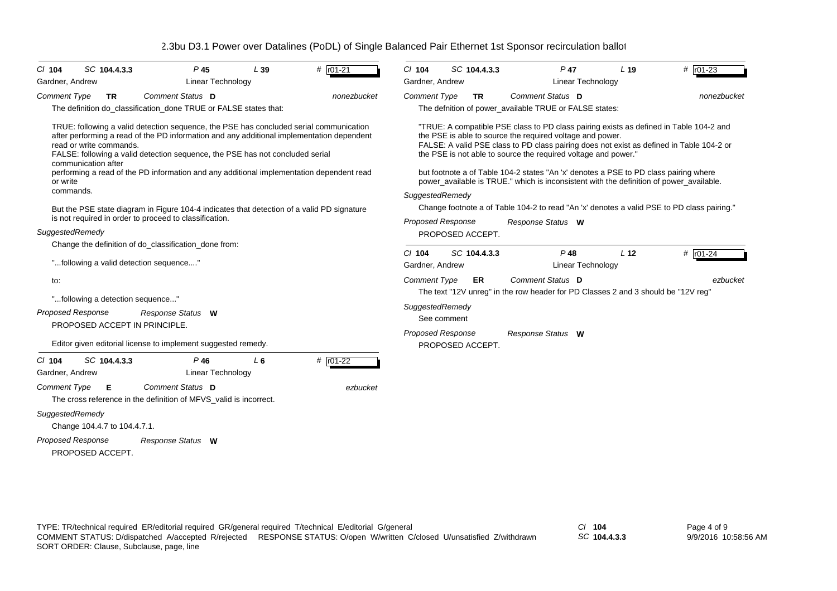| $CI$ 104                                                                                                                                                                                                                                                                                                                                                                                                                                    |                                                                                                                                                                         | SC 104.4.3.3                 |                                                                                       | P 45                               | L39                                                              | # r01-21    | $CI$ 104                                                                                                                                                                                                                                                                                                                                                                                                                                                                                                                |                                                                                                                                             | SC 104.4.3.3     |                  | P 47                                                   | L <sub>19</sub>                                                                   | # $\sqrt{101-23}$ |  |
|---------------------------------------------------------------------------------------------------------------------------------------------------------------------------------------------------------------------------------------------------------------------------------------------------------------------------------------------------------------------------------------------------------------------------------------------|-------------------------------------------------------------------------------------------------------------------------------------------------------------------------|------------------------------|---------------------------------------------------------------------------------------|------------------------------------|------------------------------------------------------------------|-------------|-------------------------------------------------------------------------------------------------------------------------------------------------------------------------------------------------------------------------------------------------------------------------------------------------------------------------------------------------------------------------------------------------------------------------------------------------------------------------------------------------------------------------|---------------------------------------------------------------------------------------------------------------------------------------------|------------------|------------------|--------------------------------------------------------|-----------------------------------------------------------------------------------|-------------------|--|
| Gardner, Andrew                                                                                                                                                                                                                                                                                                                                                                                                                             |                                                                                                                                                                         |                              |                                                                                       | <b>Linear Technology</b>           |                                                                  |             | Gardner, Andrew                                                                                                                                                                                                                                                                                                                                                                                                                                                                                                         |                                                                                                                                             |                  |                  | Linear Technology                                      |                                                                                   |                   |  |
| <b>Comment Type</b>                                                                                                                                                                                                                                                                                                                                                                                                                         |                                                                                                                                                                         | <b>TR</b>                    | Comment Status D                                                                      |                                    | The definition do_classification_done TRUE or FALSE states that: | nonezbucket | <b>Comment Type</b>                                                                                                                                                                                                                                                                                                                                                                                                                                                                                                     |                                                                                                                                             | <b>TR</b>        | Comment Status D | The defnition of power_available TRUE or FALSE states: |                                                                                   | nonezbucket       |  |
| TRUE: following a valid detection sequence, the PSE has concluded serial communication<br>after performing a read of the PD information and any additional implementation dependent<br>read or write commands.<br>FALSE: following a valid detection sequence, the PSE has not concluded serial<br>communication after<br>performing a read of the PD information and any additional implementation dependent read<br>or write<br>commands. |                                                                                                                                                                         |                              |                                                                                       |                                    |                                                                  |             | "TRUE: A compatible PSE class to PD class pairing exists as defined in Table 104-2 and<br>the PSE is able to source the required voltage and power.<br>FALSE: A valid PSE class to PD class pairing does not exist as defined in Table 104-2 or<br>the PSE is not able to source the required voltage and power."<br>but footnote a of Table 104-2 states "An 'x' denotes a PSE to PD class pairing where<br>power_available is TRUE." which is inconsistent with the definition of power_available.<br>SuggestedRemedy |                                                                                                                                             |                  |                  |                                                        |                                                                                   |                   |  |
|                                                                                                                                                                                                                                                                                                                                                                                                                                             | But the PSE state diagram in Figure 104-4 indicates that detection of a valid PD signature<br>is not required in order to proceed to classification.<br>SuggestedRemedy |                              |                                                                                       |                                    |                                                                  |             |                                                                                                                                                                                                                                                                                                                                                                                                                                                                                                                         | Change footnote a of Table 104-2 to read "An 'x' denotes a valid PSE to PD class pairing."<br><b>Proposed Response</b><br>Response Status W |                  |                  |                                                        |                                                                                   |                   |  |
|                                                                                                                                                                                                                                                                                                                                                                                                                                             |                                                                                                                                                                         |                              |                                                                                       |                                    |                                                                  |             |                                                                                                                                                                                                                                                                                                                                                                                                                                                                                                                         |                                                                                                                                             | PROPOSED ACCEPT. |                  |                                                        |                                                                                   |                   |  |
|                                                                                                                                                                                                                                                                                                                                                                                                                                             |                                                                                                                                                                         |                              | Change the definition of do_classification_done from:                                 |                                    |                                                                  |             | $Cl$ 104                                                                                                                                                                                                                                                                                                                                                                                                                                                                                                                |                                                                                                                                             | SC 104.4.3.3     |                  | $P$ 48                                                 | L <sub>12</sub>                                                                   | # $r01-24$        |  |
|                                                                                                                                                                                                                                                                                                                                                                                                                                             |                                                                                                                                                                         |                              | "following a valid detection sequence"                                                |                                    |                                                                  |             | Linear Technology<br>Gardner, Andrew                                                                                                                                                                                                                                                                                                                                                                                                                                                                                    |                                                                                                                                             |                  |                  |                                                        |                                                                                   |                   |  |
| to:                                                                                                                                                                                                                                                                                                                                                                                                                                         |                                                                                                                                                                         |                              |                                                                                       |                                    |                                                                  |             | <b>Comment Type</b>                                                                                                                                                                                                                                                                                                                                                                                                                                                                                                     |                                                                                                                                             | ER               | Comment Status D |                                                        |                                                                                   | ezbucket          |  |
|                                                                                                                                                                                                                                                                                                                                                                                                                                             |                                                                                                                                                                         |                              | "following a detection sequence"                                                      |                                    |                                                                  |             |                                                                                                                                                                                                                                                                                                                                                                                                                                                                                                                         |                                                                                                                                             |                  |                  |                                                        | The text "12V unreg" in the row header for PD Classes 2 and 3 should be "12V reg" |                   |  |
| <b>Proposed Response</b>                                                                                                                                                                                                                                                                                                                                                                                                                    |                                                                                                                                                                         |                              | Response Status W<br>PROPOSED ACCEPT IN PRINCIPLE.                                    |                                    |                                                                  |             | SuggestedRemedy                                                                                                                                                                                                                                                                                                                                                                                                                                                                                                         | See comment                                                                                                                                 |                  |                  |                                                        |                                                                                   |                   |  |
|                                                                                                                                                                                                                                                                                                                                                                                                                                             |                                                                                                                                                                         |                              | Editor given editorial license to implement suggested remedy.                         |                                    |                                                                  |             | <b>Proposed Response</b><br>Response Status W<br>PROPOSED ACCEPT.                                                                                                                                                                                                                                                                                                                                                                                                                                                       |                                                                                                                                             |                  |                  |                                                        |                                                                                   |                   |  |
| $CI$ 104<br>Gardner, Andrew                                                                                                                                                                                                                                                                                                                                                                                                                 |                                                                                                                                                                         | SC 104.4.3.3                 |                                                                                       | $P$ 46<br><b>Linear Technology</b> | $L_6$                                                            | # r01-22    |                                                                                                                                                                                                                                                                                                                                                                                                                                                                                                                         |                                                                                                                                             |                  |                  |                                                        |                                                                                   |                   |  |
| <b>Comment Type</b>                                                                                                                                                                                                                                                                                                                                                                                                                         |                                                                                                                                                                         | Е                            | Comment Status D<br>The cross reference in the definition of MFVS valid is incorrect. |                                    |                                                                  | ezbucket    |                                                                                                                                                                                                                                                                                                                                                                                                                                                                                                                         |                                                                                                                                             |                  |                  |                                                        |                                                                                   |                   |  |
| SuggestedRemedy                                                                                                                                                                                                                                                                                                                                                                                                                             |                                                                                                                                                                         | Change 104.4.7 to 104.4.7.1. |                                                                                       |                                    |                                                                  |             |                                                                                                                                                                                                                                                                                                                                                                                                                                                                                                                         |                                                                                                                                             |                  |                  |                                                        |                                                                                   |                   |  |
| <b>Proposed Response</b>                                                                                                                                                                                                                                                                                                                                                                                                                    |                                                                                                                                                                         | PROPOSED ACCEPT.             | Response Status W                                                                     |                                    |                                                                  |             |                                                                                                                                                                                                                                                                                                                                                                                                                                                                                                                         |                                                                                                                                             |                  |                  |                                                        |                                                                                   |                   |  |

*SC* **104.4.3.3**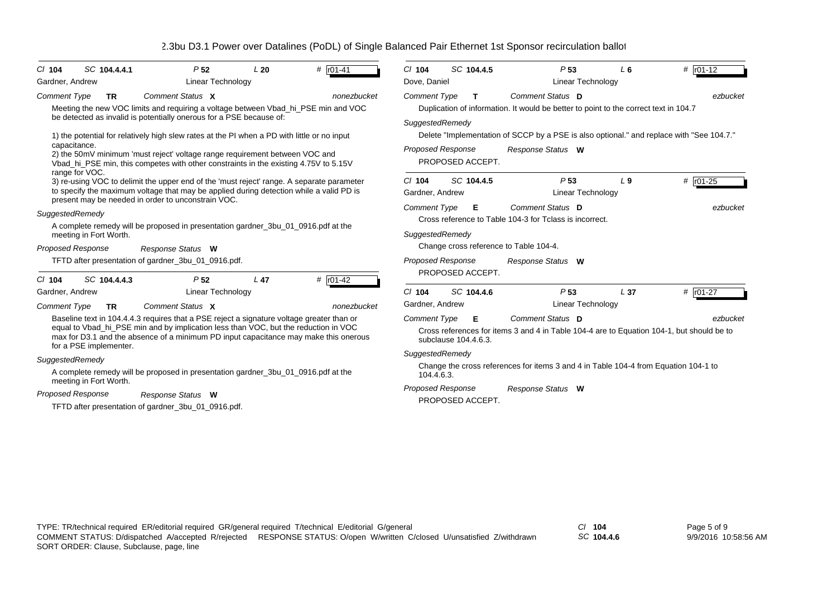| # $r01-41$<br>SC 104.4.4.1<br>L20<br>$Cl$ 104<br>P <sub>52</sub><br><b>Linear Technology</b><br>Gardner, Andrew                                                                                                                                                                                                                                                                                                                                                                                                        | # $r01-12$<br>$Cl$ 104<br>SC 104.4.5<br>P <sub>53</sub><br>L6<br>Linear Technology<br>Dove, Daniel                                                                                                                                                                                                                                   |  |  |  |  |  |  |  |
|------------------------------------------------------------------------------------------------------------------------------------------------------------------------------------------------------------------------------------------------------------------------------------------------------------------------------------------------------------------------------------------------------------------------------------------------------------------------------------------------------------------------|--------------------------------------------------------------------------------------------------------------------------------------------------------------------------------------------------------------------------------------------------------------------------------------------------------------------------------------|--|--|--|--|--|--|--|
| Comment Status X<br><b>Comment Type</b><br><b>TR</b><br>nonezbucket<br>Meeting the new VOC limits and requiring a voltage between Vbad_hi_PSE min and VOC<br>be detected as invalid is potentially onerous for a PSE because of:<br>1) the potential for relatively high slew rates at the PI when a PD with little or no input<br>capacitance.<br>2) the 50mV minimum 'must reject' voltage range requirement between VOC and<br>Vbad hi PSE min, this competes with other constraints in the existing 4.75V to 5.15V | Comment Status D<br><b>Comment Type</b><br>ezbucket<br>т<br>Duplication of information. It would be better to point to the correct text in 104.7<br>SuggestedRemedy<br>Delete "Implementation of SCCP by a PSE is also optional." and replace with "See 104.7."<br><b>Proposed Response</b><br>Response Status W<br>PROPOSED ACCEPT. |  |  |  |  |  |  |  |
| range for VOC.<br>3) re-using VOC to delimit the upper end of the 'must reject' range. A separate parameter<br>to specify the maximum voltage that may be applied during detection while a valid PD is<br>present may be needed in order to unconstrain VOC.                                                                                                                                                                                                                                                           | SC 104.4.5<br>$#$ $r01-25$<br>P <sub>53</sub><br>$Cl$ 104<br>L <sub>9</sub><br>Linear Technology<br>Gardner, Andrew                                                                                                                                                                                                                  |  |  |  |  |  |  |  |
| SuggestedRemedy<br>A complete remedy will be proposed in presentation gardner_3bu_01_0916.pdf at the<br>meeting in Fort Worth.<br><b>Proposed Response</b><br>Response Status W                                                                                                                                                                                                                                                                                                                                        | Comment Status D<br><b>Comment Type</b><br>Е<br>ezbucket<br>Cross reference to Table 104-3 for Tclass is incorrect.<br>SuggestedRemedy<br>Change cross reference to Table 104-4.                                                                                                                                                     |  |  |  |  |  |  |  |
| TFTD after presentation of gardner_3bu_01_0916.pdf.<br>SC 104.4.4.3<br># $r01-42$<br>P <sub>52</sub><br>L <sub>47</sub><br>$CI$ 104                                                                                                                                                                                                                                                                                                                                                                                    | <b>Proposed Response</b><br>Response Status W<br>PROPOSED ACCEPT.                                                                                                                                                                                                                                                                    |  |  |  |  |  |  |  |
| <b>Linear Technology</b><br>Gardner, Andrew<br>Comment Status X<br><b>Comment Type</b><br>nonezbucket<br><b>TR</b>                                                                                                                                                                                                                                                                                                                                                                                                     | # r01-27<br>SC 104.4.6<br>P <sub>53</sub><br>C/104<br>L <sub>37</sub><br>Linear Technology<br>Gardner, Andrew                                                                                                                                                                                                                        |  |  |  |  |  |  |  |
| Baseline text in 104.4.4.3 requires that a PSE reject a signature voltage greater than or<br>equal to Vbad_hi_PSE min and by implication less than VOC, but the reduction in VOC<br>max for D3.1 and the absence of a minimum PD input capacitance may make this onerous<br>for a PSE implementer.                                                                                                                                                                                                                     | Comment Status D<br><b>Comment Type</b><br>Е<br>ezbucket<br>Cross references for items 3 and 4 in Table 104-4 are to Equation 104-1, but should be to<br>subclause 104.4.6.3.                                                                                                                                                        |  |  |  |  |  |  |  |
| SuggestedRemedy<br>A complete remedy will be proposed in presentation gardner_3bu_01_0916.pdf at the                                                                                                                                                                                                                                                                                                                                                                                                                   | SuggestedRemedy<br>Change the cross references for items 3 and 4 in Table 104-4 from Equation 104-1 to<br>104.4.6.3.                                                                                                                                                                                                                 |  |  |  |  |  |  |  |
| meeting in Fort Worth.<br>Proposed Response<br>Response Status W<br>TFTD after presentation of gardner_3bu_01_0916.pdf.                                                                                                                                                                                                                                                                                                                                                                                                | Proposed Response<br>Response Status W<br>PROPOSED ACCEPT.                                                                                                                                                                                                                                                                           |  |  |  |  |  |  |  |

*SC* **104.4.6**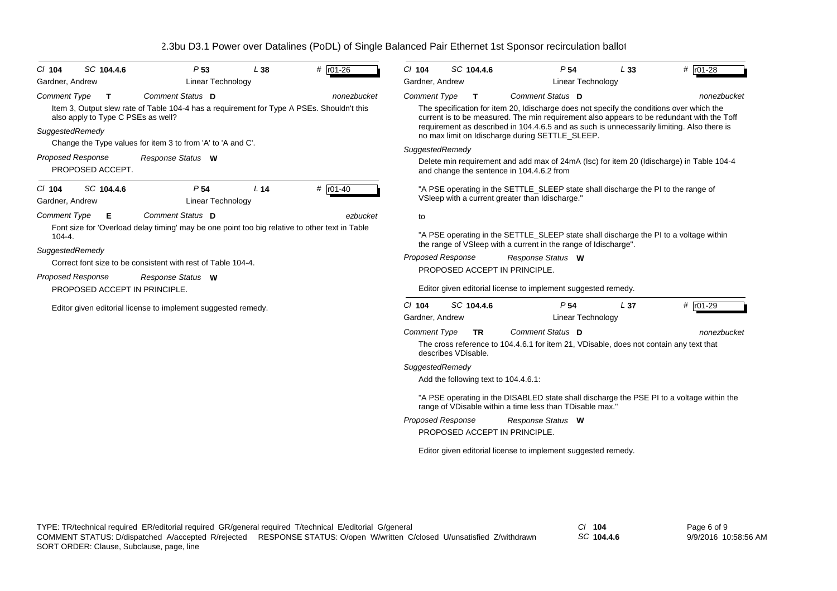| $CI$ 104                                             | SC 104.4.6                                        | P <sub>53</sub>                                                                                                                                                                    | L38             | # r01-26     | $CI$ 104                                                                                                                                                                                                                                                                                                                                                                                                                                                                                                                                                                     | SC 104.4.6 |                                                 | P <sub>54</sub>                                               | L33             | # r01-28                                                                          |  |  |
|------------------------------------------------------|---------------------------------------------------|------------------------------------------------------------------------------------------------------------------------------------------------------------------------------------|-----------------|--------------|------------------------------------------------------------------------------------------------------------------------------------------------------------------------------------------------------------------------------------------------------------------------------------------------------------------------------------------------------------------------------------------------------------------------------------------------------------------------------------------------------------------------------------------------------------------------------|------------|-------------------------------------------------|---------------------------------------------------------------|-----------------|-----------------------------------------------------------------------------------|--|--|
| Gardner, Andrew                                      |                                                   | Linear Technology                                                                                                                                                                  |                 |              | Gardner, Andrew                                                                                                                                                                                                                                                                                                                                                                                                                                                                                                                                                              |            |                                                 | Linear Technology                                             |                 |                                                                                   |  |  |
| <b>Comment Type</b>                                  | $\mathbf T$<br>also apply to Type C PSEs as well? | Comment Status D<br>Item 3, Output slew rate of Table 104-4 has a requirement for Type A PSEs. Shouldn't this                                                                      |                 | nonezbucket  | Comment Status D<br>nonezbucket<br><b>Comment Type</b><br>$\mathbf{T}$<br>The specification for item 20, Idischarge does not specify the conditions over which the<br>current is to be measured. The min requirement also appears to be redundant with the Toff<br>requirement as described in 104.4.6.5 and as such is unnecessarily limiting. Also there is<br>no max limit on Idischarge during SETTLE_SLEEP.<br>SuggestedRemedy<br>Delete min requirement and add max of 24mA (Isc) for item 20 (Idischarge) in Table 104-4<br>and change the sentence in 104.4.6.2 from |            |                                                 |                                                               |                 |                                                                                   |  |  |
| SuggestedRemedy                                      |                                                   | Change the Type values for item 3 to from 'A' to 'A and C'.                                                                                                                        |                 |              |                                                                                                                                                                                                                                                                                                                                                                                                                                                                                                                                                                              |            |                                                 |                                                               |                 |                                                                                   |  |  |
| <b>Proposed Response</b>                             | PROPOSED ACCEPT.                                  | Response Status W                                                                                                                                                                  |                 |              |                                                                                                                                                                                                                                                                                                                                                                                                                                                                                                                                                                              |            |                                                 |                                                               |                 |                                                                                   |  |  |
| $CI$ 104<br>Gardner, Andrew                          | SC 104.4.6                                        | P <sub>54</sub><br><b>Linear Technology</b>                                                                                                                                        | L <sub>14</sub> | $#$ $r01-40$ |                                                                                                                                                                                                                                                                                                                                                                                                                                                                                                                                                                              |            | VSleep with a current greater than Idischarge." |                                                               |                 | "A PSE operating in the SETTLE_SLEEP state shall discharge the PI to the range of |  |  |
| <b>Comment Type</b><br>$104 - 4.$<br>SuggestedRemedy | Е                                                 | Comment Status D<br>Font size for 'Overload delay timing' may be one point too big relative to other text in Table<br>Correct font size to be consistent with rest of Table 104-4. |                 | ezbucket     | to<br>"A PSE operating in the SETTLE_SLEEP state shall discharge the PI to a voltage within<br>the range of VSIeep with a current in the range of Idischarge".<br><b>Proposed Response</b><br>Response Status W<br>PROPOSED ACCEPT IN PRINCIPLE.                                                                                                                                                                                                                                                                                                                             |            |                                                 |                                                               |                 |                                                                                   |  |  |
| <b>Proposed Response</b>                             | PROPOSED ACCEPT IN PRINCIPLE.                     | Response Status W                                                                                                                                                                  |                 |              | Editor given editorial license to implement suggested remedy.                                                                                                                                                                                                                                                                                                                                                                                                                                                                                                                |            |                                                 |                                                               |                 |                                                                                   |  |  |
|                                                      |                                                   | Editor given editorial license to implement suggested remedy.                                                                                                                      |                 |              | $Cl$ 104<br>Gardner, Andrew                                                                                                                                                                                                                                                                                                                                                                                                                                                                                                                                                  | SC 104.4.6 |                                                 | P <sub>54</sub><br>Linear Technology                          | L <sub>37</sub> | # r01-29                                                                          |  |  |
|                                                      |                                                   |                                                                                                                                                                                    |                 |              | Comment Status D<br>Comment Type<br>nonezbucket<br><b>TR</b><br>The cross reference to 104.4.6.1 for item 21, VDisable, does not contain any text that<br>describes VDisable.                                                                                                                                                                                                                                                                                                                                                                                                |            |                                                 |                                                               |                 |                                                                                   |  |  |
|                                                      |                                                   |                                                                                                                                                                                    |                 |              | SuggestedRemedy                                                                                                                                                                                                                                                                                                                                                                                                                                                                                                                                                              |            | Add the following text to 104.4.6.1:            |                                                               |                 |                                                                                   |  |  |
|                                                      |                                                   |                                                                                                                                                                                    |                 |              | "A PSE operating in the DISABLED state shall discharge the PSE PI to a voltage within the<br>range of VDisable within a time less than TDisable max."                                                                                                                                                                                                                                                                                                                                                                                                                        |            |                                                 |                                                               |                 |                                                                                   |  |  |
|                                                      |                                                   |                                                                                                                                                                                    |                 |              | <b>Proposed Response</b>                                                                                                                                                                                                                                                                                                                                                                                                                                                                                                                                                     |            | PROPOSED ACCEPT IN PRINCIPLE.                   | Response Status W                                             |                 |                                                                                   |  |  |
|                                                      |                                                   |                                                                                                                                                                                    |                 |              |                                                                                                                                                                                                                                                                                                                                                                                                                                                                                                                                                                              |            |                                                 | Editor given editorial license to implement suggested remedy. |                 |                                                                                   |  |  |

*SC* **104.4.6**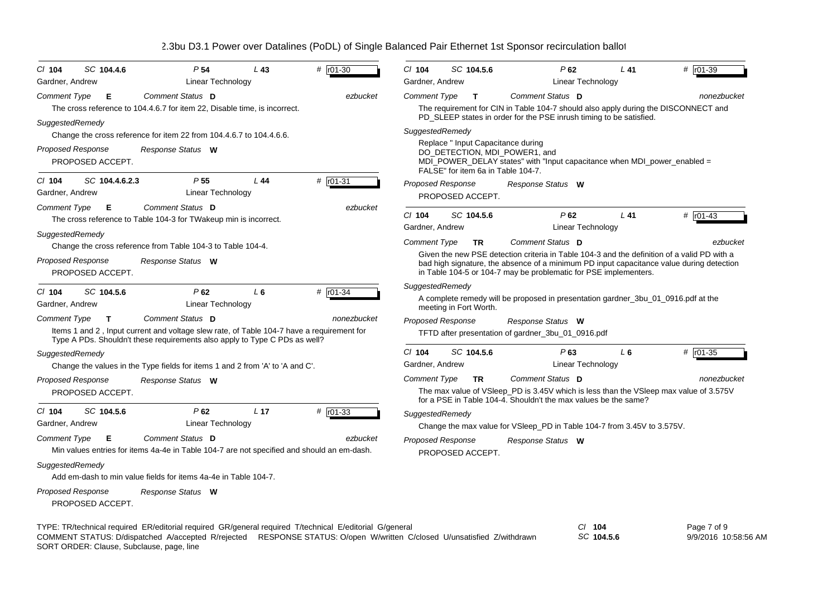| SC 104.4.6<br>$Cl$ 104<br>Gardner, Andrew                                                                                                                                                                                          | P <sub>54</sub><br>Linear Technology                                                                                                                                    | L43             | $#$ $r01-30$ | C/ 104<br>Gardner, Andrew |                        | SC 104.5.6   | P62                                                                                                            | Linear Technology       | $L$ 41 | # r01-39                                                                                    |
|------------------------------------------------------------------------------------------------------------------------------------------------------------------------------------------------------------------------------------|-------------------------------------------------------------------------------------------------------------------------------------------------------------------------|-----------------|--------------|---------------------------|------------------------|--------------|----------------------------------------------------------------------------------------------------------------|-------------------------|--------|---------------------------------------------------------------------------------------------|
| <b>Comment Type</b><br>Е                                                                                                                                                                                                           | Comment Status D                                                                                                                                                        |                 | ezbucket     | <b>Comment Type</b>       |                        | $\mathbf{T}$ | Comment Status D                                                                                               |                         |        | nonezbucket                                                                                 |
|                                                                                                                                                                                                                                    | The cross reference to 104.4.6.7 for item 22, Disable time, is incorrect.                                                                                               |                 |              |                           |                        |              |                                                                                                                |                         |        | The requirement for CIN in Table 104-7 should also apply during the DISCONNECT and          |
| SuggestedRemedy                                                                                                                                                                                                                    |                                                                                                                                                                         |                 |              |                           |                        |              | PD_SLEEP states in order for the PSE inrush timing to be satisfied.                                            |                         |        |                                                                                             |
|                                                                                                                                                                                                                                    | Change the cross reference for item 22 from 104.4.6.7 to 104.4.6.6.                                                                                                     |                 |              | SuggestedRemedy           |                        |              |                                                                                                                |                         |        |                                                                                             |
| Proposed Response                                                                                                                                                                                                                  | Response Status W                                                                                                                                                       |                 |              |                           |                        |              | Replace " Input Capacitance during<br>DO DETECTION, MDI POWER1, and                                            |                         |        |                                                                                             |
| PROPOSED ACCEPT.                                                                                                                                                                                                                   |                                                                                                                                                                         |                 |              |                           |                        |              | MDI_POWER_DELAY states" with "Input capacitance when MDI_power_enabled =<br>FALSE" for item 6a in Table 104-7. |                         |        |                                                                                             |
| $CI$ 104<br>SC 104.4.6.2.3                                                                                                                                                                                                         | P <sub>55</sub>                                                                                                                                                         | L44             | # $r01-31$   | <b>Proposed Response</b>  |                        |              | Response Status W                                                                                              |                         |        |                                                                                             |
| Gardner, Andrew                                                                                                                                                                                                                    | Linear Technology                                                                                                                                                       |                 |              |                           | PROPOSED ACCEPT.       |              |                                                                                                                |                         |        |                                                                                             |
| <b>Comment Type</b><br>Е                                                                                                                                                                                                           | Comment Status D                                                                                                                                                        |                 | ezbucket     | $CI$ 104                  |                        | SC 104.5.6   | P62                                                                                                            |                         | $L$ 41 | # r01-43                                                                                    |
|                                                                                                                                                                                                                                    | The cross reference to Table 104-3 for TWakeup min is incorrect.                                                                                                        |                 |              | Gardner, Andrew           |                        |              |                                                                                                                | Linear Technology       |        |                                                                                             |
| SuggestedRemedy                                                                                                                                                                                                                    | Change the cross reference from Table 104-3 to Table 104-4.                                                                                                             |                 |              | <b>Comment Type</b>       |                        | <b>TR</b>    | Comment Status D                                                                                               |                         |        | ezbucket                                                                                    |
| <b>Proposed Response</b>                                                                                                                                                                                                           |                                                                                                                                                                         |                 |              |                           |                        |              |                                                                                                                |                         |        | Given the new PSE detection criteria in Table 104-3 and the definition of a valid PD with a |
| PROPOSED ACCEPT.                                                                                                                                                                                                                   | Response Status W                                                                                                                                                       |                 |              |                           |                        |              | in Table 104-5 or 104-7 may be problematic for PSE implementers.                                               |                         |        | bad high signature, the absence of a minimum PD input capacitance value during detection    |
| C/ 104<br>SC 104.5.6                                                                                                                                                                                                               | P62                                                                                                                                                                     | L6              | # r01-34     | SuggestedRemedy           |                        |              |                                                                                                                |                         |        |                                                                                             |
| Gardner, Andrew                                                                                                                                                                                                                    | Linear Technology                                                                                                                                                       |                 |              |                           | meeting in Fort Worth. |              | A complete remedy will be proposed in presentation gardner_3bu_01_0916.pdf at the                              |                         |        |                                                                                             |
| <b>Comment Type</b><br>T.                                                                                                                                                                                                          | Comment Status D                                                                                                                                                        |                 | nonezbucket  | <b>Proposed Response</b>  |                        |              | Response Status W                                                                                              |                         |        |                                                                                             |
|                                                                                                                                                                                                                                    | Items 1 and 2, Input current and voltage slew rate, of Table 104-7 have a requirement for<br>Type A PDs. Shouldn't these requirements also apply to Type C PDs as well? |                 |              |                           |                        |              | TFTD after presentation of gardner_3bu_01_0916.pdf                                                             |                         |        |                                                                                             |
| SuggestedRemedy                                                                                                                                                                                                                    |                                                                                                                                                                         |                 |              | $Cl$ 104                  |                        | SC 104.5.6   | P63                                                                                                            |                         | $L_6$  | # $r01-35$                                                                                  |
|                                                                                                                                                                                                                                    | Change the values in the Type fields for items 1 and 2 from 'A' to 'A and C'.                                                                                           |                 |              | Gardner, Andrew           |                        |              |                                                                                                                | Linear Technology       |        |                                                                                             |
| Proposed Response                                                                                                                                                                                                                  | Response Status W                                                                                                                                                       |                 |              | <b>Comment Type</b>       |                        | <b>TR</b>    | Comment Status D                                                                                               |                         |        | nonezbucket                                                                                 |
| PROPOSED ACCEPT.                                                                                                                                                                                                                   |                                                                                                                                                                         |                 |              |                           |                        |              | for a PSE in Table 104-4. Shouldn't the max values be the same?                                                |                         |        | The max value of VSIeep_PD is 3.45V which is less than the VSIeep max value of 3.575V       |
| SC 104.5.6<br>$CI$ 104                                                                                                                                                                                                             | $P$ 62                                                                                                                                                                  | L <sub>17</sub> | # r01-33     | SuggestedRemedy           |                        |              |                                                                                                                |                         |        |                                                                                             |
| Gardner, Andrew                                                                                                                                                                                                                    | Linear Technology                                                                                                                                                       |                 |              |                           |                        |              | Change the max value for VSIeep_PD in Table 104-7 from 3.45V to 3.575V.                                        |                         |        |                                                                                             |
| <b>Comment Type</b><br>Е                                                                                                                                                                                                           | Comment Status D                                                                                                                                                        |                 | ezbucket     | Proposed Response         |                        |              | Response Status W                                                                                              |                         |        |                                                                                             |
|                                                                                                                                                                                                                                    | Min values entries for items 4a-4e in Table 104-7 are not specified and should an em-dash.                                                                              |                 |              |                           | PROPOSED ACCEPT.       |              |                                                                                                                |                         |        |                                                                                             |
| SuggestedRemedy                                                                                                                                                                                                                    |                                                                                                                                                                         |                 |              |                           |                        |              |                                                                                                                |                         |        |                                                                                             |
|                                                                                                                                                                                                                                    | Add em-dash to min value fields for items 4a-4e in Table 104-7.                                                                                                         |                 |              |                           |                        |              |                                                                                                                |                         |        |                                                                                             |
| Proposed Response<br>PROPOSED ACCEPT.                                                                                                                                                                                              | Response Status W                                                                                                                                                       |                 |              |                           |                        |              |                                                                                                                |                         |        |                                                                                             |
| TYPE: TR/technical required ER/editorial required GR/general required T/technical E/editorial G/general<br>COMMENT STATUS: D/dispatched A/accepted R/rejected RESPONSE STATUS: O/open W/written C/closed U/unsatisfied Z/withdrawn |                                                                                                                                                                         |                 |              |                           |                        |              |                                                                                                                | СI<br>104<br>SC 104.5.6 |        | Page 7 of 9<br>9/9/2016 10:58:56 AM                                                         |

COMMENT STATUS: D/dispatched A/accepted R/rejected RESPONSE STATUS: O/open W/written C/closed U/unsatisfied Z/withdrawn

SORT ORDER: Clause, Subclause, page, line

*SC* **104.5.6**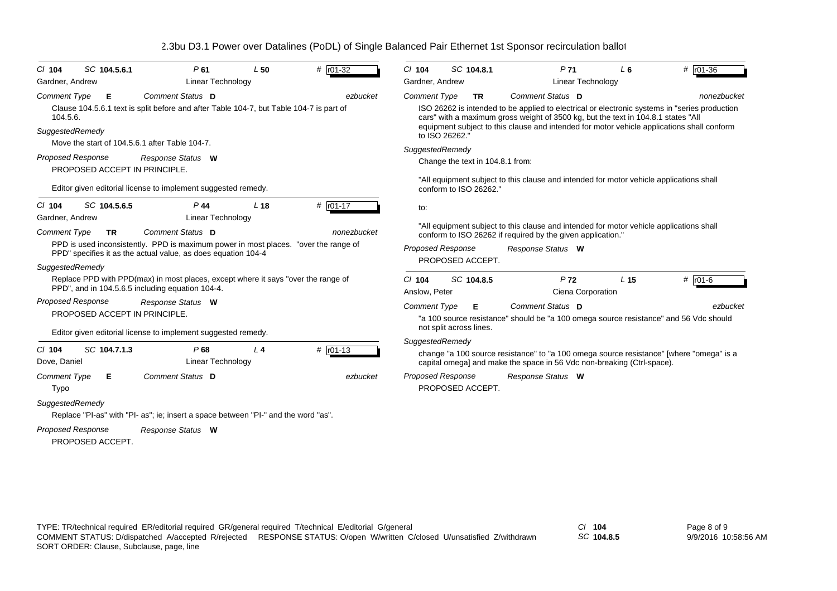| SC 104.5.6.1<br>C/104<br>Gardner, Andrew                                                                                                                               | P61<br>Linear Technology                                                                                                                                                                                                                                                      | L50             | # r01-32                  | $Cl$ 104<br>Gardner, Andrew                              | SC 104.8.1                                    | P <sub>71</sub><br><b>Linear Technology</b>                                                                                                                                                                                                                                                                                                                                                      | L <sub>6</sub>  | $# 101-36$              |
|------------------------------------------------------------------------------------------------------------------------------------------------------------------------|-------------------------------------------------------------------------------------------------------------------------------------------------------------------------------------------------------------------------------------------------------------------------------|-----------------|---------------------------|----------------------------------------------------------|-----------------------------------------------|--------------------------------------------------------------------------------------------------------------------------------------------------------------------------------------------------------------------------------------------------------------------------------------------------------------------------------------------------------------------------------------------------|-----------------|-------------------------|
| <b>Comment Type</b><br>Е<br>104.5.6.<br>SuggestedRemedy<br>Move the start of 104.5.6.1 after Table 104-7.<br><b>Proposed Response</b><br>PROPOSED ACCEPT IN PRINCIPLE. | <b>Comment Status D</b><br>Clause 104.5.6.1 text is split before and after Table 104-7, but Table 104-7 is part of<br>Response Status W                                                                                                                                       |                 | ezbucket                  | <b>Comment Type</b><br>to ISO 26262."<br>SuggestedRemedy | <b>TR</b><br>Change the text in 104.8.1 from: | Comment Status D<br>ISO 26262 is intended to be applied to electrical or electronic systems in "series production"<br>cars" with a maximum gross weight of 3500 kg, but the text in 104.8.1 states "All<br>equipment subject to this clause and intended for motor vehicle applications shall conform<br>"All equipment subject to this clause and intended for motor vehicle applications shall |                 | nonezbucket             |
| SC 104.5.6.5<br>$Cl$ 104<br>Gardner, Andrew<br><b>Comment Type</b><br><b>TR</b>                                                                                        | Editor given editorial license to implement suggested remedy.<br>P 44<br><b>Linear Technology</b><br>Comment Status D<br>PPD is used inconsistently. PPD is maximum power in most places. "over the range of<br>PPD" specifies it as the actual value, as does equation 104-4 | L <sub>18</sub> | # $r01-17$<br>nonezbucket | to:<br><b>Proposed Response</b>                          | conform to ISO 26262."<br>PROPOSED ACCEPT.    | "All equipment subject to this clause and intended for motor vehicle applications shall<br>conform to ISO 26262 if required by the given application."<br>Response Status W                                                                                                                                                                                                                      |                 |                         |
| SuggestedRemedy<br><b>Proposed Response</b><br>PROPOSED ACCEPT IN PRINCIPLE.                                                                                           | Replace PPD with PPD(max) in most places, except where it says "over the range of<br>PPD", and in 104.5.6.5 including equation 104-4.<br>Response Status W<br>Editor given editorial license to implement suggested remedy.                                                   |                 |                           | $Cl$ 104<br>Anslow. Peter<br><b>Comment Type</b>         | SC 104.8.5<br>Е<br>not split across lines.    | P <sub>72</sub><br>Ciena Corporation<br>Comment Status D<br>"a 100 source resistance" should be "a 100 omega source resistance" and 56 Vdc should                                                                                                                                                                                                                                                | L <sub>15</sub> | $#$ $r01-6$<br>ezbucket |
| SC 104.7.1.3<br>$Cl$ 104<br>Dove, Daniel<br>Comment Type<br>Е<br>Typo<br>SuggestedRemedy                                                                               | P68<br>Linear Technology<br>Comment Status D<br>Replace "PI-as" with "PI- as"; ie; insert a space between "PI-" and the word "as".                                                                                                                                            | L <sub>4</sub>  | $#$ $r01-13$<br>ezbucket  | SuggestedRemedy<br><b>Proposed Response</b>              | PROPOSED ACCEPT.                              | change "a 100 source resistance" to "a 100 omega source resistance" [where "omega" is a<br>capital omega] and make the space in 56 Vdc non-breaking (Ctrl-space).<br>Response Status W                                                                                                                                                                                                           |                 |                         |
| <b>Proposed Response</b>                                                                                                                                               | Response Status W                                                                                                                                                                                                                                                             |                 |                           |                                                          |                                               |                                                                                                                                                                                                                                                                                                                                                                                                  |                 |                         |

PROPOSED ACCEPT.

*SC* **104.8.5**